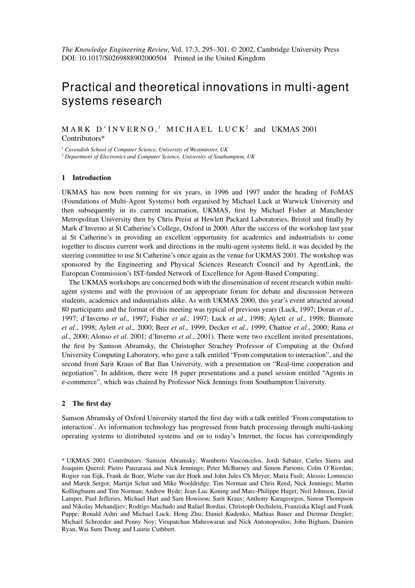# Practical and theoretical innovations in multi-agent systems research

 $M \triangle R K$  D'INVERNO,<sup>1</sup> MICHAEL LUCK<sup>2</sup> and UKMAS 2001 Contributors\*

<sup>1</sup> *Cavendish School of Computer Science, University of Westminster, UK*

<sup>2</sup> *Department of Electronics and Computer Science, University of Southampton, UK*

#### **1 Introduction**

UKMAS has now been running for six years, in 1996 and 1997 under the heading of FoMAS (Foundations of Multi-Agent Systems) both organised by Michael Luck at Warwick University and then subsequently in its current incarnation, UKMAS, first by Michael Fisher at Manchester Metropolitan University then by Chris Preist at Hewlett Packard Laboratories, Bristol and finally by Mark d'Inverno at St Catherine's College, Oxford in 2000. After the success of the workshop last year at St Catherine's in providing an excellent opportunity for academics and industrialists to come together to discuss current work and directions in the multi-agent systems field, it was decided by the steering committee to use St Catherine's once again as the venue for UKMAS 2001. The workshop was sponsored by the Engineering and Physical Sciences Research Council and by AgentLink, the European Commission's IST-funded Network of Excellence for Agent-Based Computing.

The UKMAS workshops are concerned both with the dissemination of recent research within multiagent systems and with the provision of an appropriate forum for debate and discussion between students, academics and industrialists alike. As with UKMAS 2000, this year's event attracted around 80 participants and the format of this meeting was typical of previous years (Luck, 1997; Doran *et al*., 1997; d'Inverno *et al*., 1997; Fisher *et al*., 1997; Luck *et al*., 1998; Aylett *et al*., 1998; Binmore *et al*., 1998; Aylett *et al*., 2000; Beer *et al*., 1999; Decker *et al*., 1999; Chattoe *et al*., 2000; Rana *et al*., 2000; Alonso *et al*. 2001; d'Inverno *et al*., 2001). There were two excellent invited presentations, the first by Samson Abramsky, the Christopher Strachey Professor of Computing at the Oxford University Computing Laboratory, who gave a talk entitled "From computation to interaction", and the second from Sarit Kraus of Bar Ilan University, with a presentation on "Real-time cooperation and negotiation". In addition, there were 18 paper presentations and a panel session entitled "Agents in e-commerce", which was chaired by Professor Nick Jennings from Southampton University.

### **2 The first day**

Samson Abramsky of Oxford University started the first day with a talk entitled 'From computation to interaction'. As information technology has progressed from batch processing through multi-tasking operating systems to distributed systems and on to today's Internet, the focus has correspondingly

<sup>\*</sup> UKMAS 2001 Contributors: Samson Abramsky; Wamberto Vasconcelos, Jordi Sabater, Carles Sierra and Joaquim Querol; Pietro Panzarasa and Nick Jennings; Peter McBurney and Simon Parsons; Colm O'Riordan; Rogier van Eijk, Frank de Boer, Wiebe van der Hoek and John Jules Ch Meyer; Maria Fasli; Alessio Lomuscio and Marek Sergot; Martijn Schut and Mike Wooldridge; Tim Norman and Chris Reed; Nick Jennings; Martin Kollingbaum and Tim Norman; Andrew Byde; Jean-Luc Koning and Marc-Philippe Huget; Neil Johnson, David Lamper, Paul Jefferies, Michael Hart and Sam Howison; Sarit Kraus; Anthony Karageorgos, Simon Thompson and Nikolay Mehandjiev; Rodrigo Machado and Rafael Bordini; Christoph Oechslein, Franziska Klugl and Frank Puppe; Ronald Ashri and Michael Luck; Hong Zhu; Daniel Kudenko, Mathias Bauer and Dietmar Dengler; Michael Schroeder and Penny Noy; Virupatchan Maheswaran and Nick Antonopoulos; John Bigham, Damien Ryan, Wai Sum Thong and Laurie Cuthbert.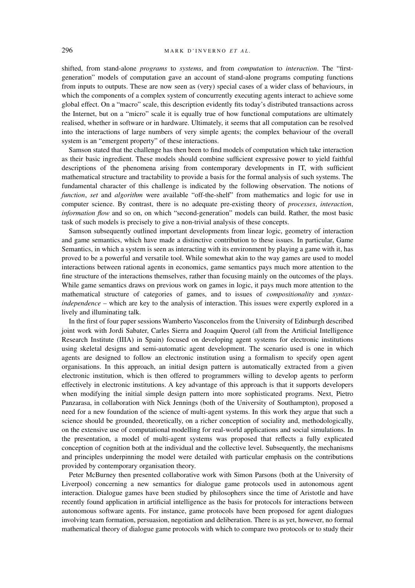shifted, from stand-alone *programs* to *systems*, and from *computation* to *interaction*. The "firstgeneration" models of computation gave an account of stand-alone programs computing functions from inputs to outputs. These are now seen as (very) special cases of a wider class of behaviours, in which the components of a complex system of concurrently executing agents interact to achieve some global effect. On a "macro" scale, this description evidently fits today's distributed transactions across the Internet, but on a "micro" scale it is equally true of how functional computations are ultimately realised, whether in software or in hardware. Ultimately, it seems that all computation can be resolved into the interactions of large numbers of very simple agents; the complex behaviour of the overall system is an "emergent property" of these interactions.

Samson stated that the challenge has then been to find models of computation which take interaction as their basic ingredient. These models should combine sufficient expressive power to yield faithful descriptions of the phenomena arising from contemporary developments in IT, with sufficient mathematical structure and tractability to provide a basis for the formal analysis of such systems. The fundamental character of this challenge is indicated by the following observation. The notions of *function*, *set* and *algorithm* were available "off-the-shelf" from mathematics and logic for use in computer science. By contrast, there is no adequate pre-existing theory of *processes*, *interaction*, *information flow* and so on, on which "second-generation" models can build. Rather, the most basic task of such models is precisely to give a non-trivial analysis of these concepts.

Samson subsequently outlined important developments from linear logic, geometry of interaction and game semantics, which have made a distinctive contribution to these issues. In particular, Game Semantics, in which a system is seen as interacting with its environment by playing a game with it, has proved to be a powerful and versatile tool. While somewhat akin to the way games are used to model interactions between rational agents in economics, game semantics pays much more attention to the fine structure of the interactions themselves, rather than focusing mainly on the outcomes of the plays. While game semantics draws on previous work on games in logic, it pays much more attention to the mathematical structure of categories of games, and to issues of *compositionality* and *syntaxindependence* – which are key to the analysis of interaction. This issues were expertly explored in a lively and illuminating talk.

In the first of four paper sessions Wamberto Vasconcelos from the University of Edinburgh described joint work with Jordi Sabater, Carles Sierra and Joaquim Querol (all from the Artificial Intelligence Research Institute (IIIA) in Spain) focused on developing agent systems for electronic institutions using skeletal designs and semi-automatic agent development. The scenario used is one in which agents are designed to follow an electronic institution using a formalism to specify open agent organisations. In this approach, an initial design pattern is automatically extracted from a given electronic institution, which is then offered to programmers willing to develop agents to perform effectively in electronic institutions. A key advantage of this approach is that it supports developers when modifying the initial simple design pattern into more sophisticated programs. Next, Pietro Panzarasa, in collaboration with Nick Jennings (both of the University of Southampton), proposed a need for a new foundation of the science of multi-agent systems. In this work they argue that such a science should be grounded, theoretically, on a richer conception of sociality and, methodologically, on the extensive use of computational modelling for real-world applications and social simulations. In the presentation, a model of multi-agent systems was proposed that reflects a fully explicated conception of cognition both at the individual and the collective level. Subsequently, the mechanisms and principles underpinning the model were detailed with particular emphasis on the contributions provided by contemporary organisation theory.

Peter McBurney then presented collaborative work with Simon Parsons (both at the University of Liverpool) concerning a new semantics for dialogue game protocols used in autonomous agent interaction. Dialogue games have been studied by philosophers since the time of Aristotle and have recently found application in artificial intelligence as the basis for protocols for interactions between autonomous software agents. For instance, game protocols have been proposed for agent dialogues involving team formation, persuasion, negotiation and deliberation. There is as yet, however, no formal mathematical theory of dialogue game protocols with which to compare two protocols or to study their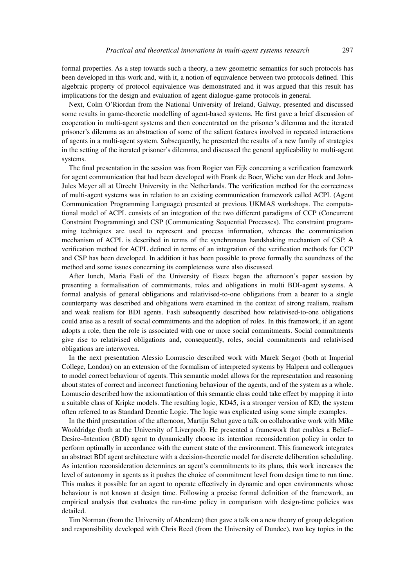formal properties. As a step towards such a theory, a new geometric semantics for such protocols has been developed in this work and, with it, a notion of equivalence between two protocols defined. This algebraic property of protocol equivalence was demonstrated and it was argued that this result has implications for the design and evaluation of agent dialogue-game protocols in general.

Next, Colm O'Riordan from the National University of Ireland, Galway, presented and discussed some results in game-theoretic modelling of agent-based systems. He first gave a brief discussion of cooperation in multi-agent systems and then concentrated on the prisoner's dilemma and the iterated prisoner's dilemma as an abstraction of some of the salient features involved in repeated interactions of agents in a multi-agent system. Subsequently, he presented the results of a new family of strategies in the setting of the iterated prisoner's dilemma, and discussed the general applicability to multi-agent systems.

The final presentation in the session was from Rogier van Eijk concerning a verification framework for agent communication that had been developed with Frank de Boer, Wiebe van der Hoek and John-Jules Meyer all at Utrecht University in the Netherlands. The verification method for the correctness of multi-agent systems was in relation to an existing communication framework called ACPL (Agent Communication Programming Language) presented at previous UKMAS workshops. The computational model of ACPL consists of an integration of the two different paradigms of CCP (Concurrent Constraint Programming) and CSP (Communicating Sequential Processes). The constraint programming techniques are used to represent and process information, whereas the communication mechanism of ACPL is described in terms of the synchronous handshaking mechanism of CSP. A verification method for ACPL defined in terms of an integration of the verification methods for CCP and CSP has been developed. In addition it has been possible to prove formally the soundness of the method and some issues concerning its completeness were also discussed.

After lunch, Maria Fasli of the University of Essex began the afternoon's paper session by presenting a formalisation of commitments, roles and obligations in multi BDI-agent systems. A formal analysis of general obligations and relativised-to-one obligations from a bearer to a single counterparty was described and obligations were examined in the context of strong realism, realism and weak realism for BDI agents. Fasli subsequently described how relativised-to-one obligations could arise as a result of social commitments and the adoption of roles. In this framework, if an agent adopts a role, then the role is associated with one or more social commitments. Social commitments give rise to relativised obligations and, consequently, roles, social commitments and relativised obligations are interwoven.

In the next presentation Alessio Lomuscio described work with Marek Sergot (both at Imperial College, London) on an extension of the formalism of interpreted systems by Halpern and colleagues to model correct behaviour of agents. This semantic model allows for the representation and reasoning about states of correct and incorrect functioning behaviour of the agents, and of the system as a whole. Lomuscio described how the axiomatisation of this semantic class could take effect by mapping it into a suitable class of Kripke models. The resulting logic, KD45, is a stronger version of KD, the system often referred to as Standard Deontic Logic. The logic was explicated using some simple examples.

In the third presentation of the afternoon, Martijn Schut gave a talk on collaborative work with Mike Wooldridge (both at the University of Liverpool). He presented a framework that enables a Belief– Desire–Intention (BDI) agent to dynamically choose its intention reconsideration policy in order to perform optimally in accordance with the current state of the environment. This framework integrates an abstract BDI agent architecture with a decision-theoretic model for discrete deliberation scheduling. As intention reconsideration determines an agent's commitments to its plans, this work increases the level of autonomy in agents as it pushes the choice of commitment level from design time to run time. This makes it possible for an agent to operate effectively in dynamic and open environments whose behaviour is not known at design time. Following a precise formal definition of the framework, an empirical analysis that evaluates the run-time policy in comparison with design-time policies was detailed.

Tim Norman (from the University of Aberdeen) then gave a talk on a new theory of group delegation and responsibility developed with Chris Reed (from the University of Dundee), two key topics in the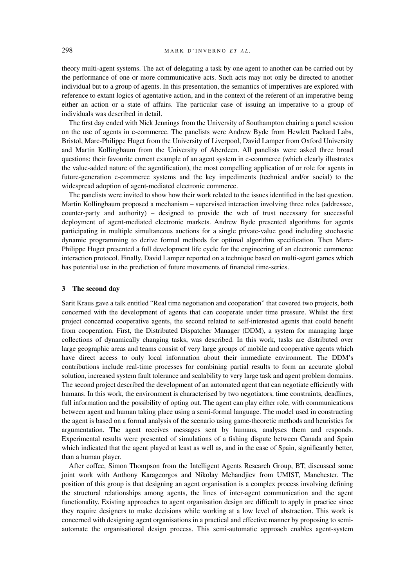theory multi-agent systems. The act of delegating a task by one agent to another can be carried out by the performance of one or more communicative acts. Such acts may not only be directed to another individual but to a group of agents. In this presentation, the semantics of imperatives are explored with reference to extant logics of agentative action, and in the context of the referent of an imperative being either an action or a state of affairs. The particular case of issuing an imperative to a group of individuals was described in detail.

The first day ended with Nick Jennings from the University of Southampton chairing a panel session on the use of agents in e-commerce. The panelists were Andrew Byde from Hewlett Packard Labs, Bristol, Marc-Philippe Huget from the University of Liverpool, David Lamper from Oxford University and Martin Kollingbaum from the University of Aberdeen. All panelists were asked three broad questions: their favourite current example of an agent system in e-commerce (which clearly illustrates the value-added nature of the agentification), the most compelling application of or role for agents in future-generation e-commerce systems and the key impediments (technical and/or social) to the widespread adoption of agent-mediated electronic commerce.

The panelists were invited to show how their work related to the issues identified in the last question. Martin Kollingbaum proposed a mechanism – supervised interaction involving three roles (addressee, counter-party and authority) – designed to provide the web of trust necessary for successful deployment of agent-mediated electronic markets. Andrew Byde presented algorithms for agents participating in multiple simultaneous auctions for a single private-value good including stochastic dynamic programming to derive formal methods for optimal algorithm specification. Then Marc-Philippe Huget presented a full development life cycle for the engineering of an electronic commerce interaction protocol. Finally, David Lamper reported on a technique based on multi-agent games which has potential use in the prediction of future movements of financial time-series.

# **3 The second day**

Sarit Kraus gave a talk entitled "Real time negotiation and cooperation" that covered two projects, both concerned with the development of agents that can cooperate under time pressure. Whilst the first project concerned cooperative agents, the second related to self-interested agents that could benefit from cooperation. First, the Distributed Dispatcher Manager (DDM), a system for managing large collections of dynamically changing tasks, was described. In this work, tasks are distributed over large geographic areas and teams consist of very large groups of mobile and cooperative agents which have direct access to only local information about their immediate environment. The DDM's contributions include real-time processes for combining partial results to form an accurate global solution, increased system fault tolerance and scalability to very large task and agent problem domains. The second project described the development of an automated agent that can negotiate efficiently with humans. In this work, the environment is characterised by two negotiators, time constraints, deadlines, full information and the possibility of opting out. The agent can play either role, with communications between agent and human taking place using a semi-formal language. The model used in constructing the agent is based on a formal analysis of the scenario using game-theoretic methods and heuristics for argumentation. The agent receives messages sent by humans, analyses them and responds. Experimental results were presented of simulations of a fishing dispute between Canada and Spain which indicated that the agent played at least as well as, and in the case of Spain, significantly better, than a human player.

After coffee, Simon Thompson from the Intelligent Agents Research Group, BT, discussed some joint work with Anthony Karageorgos and Nikolay Mehandjiev from UMIST, Manchester. The position of this group is that designing an agent organisation is a complex process involving defining the structural relationships among agents, the lines of inter-agent communication and the agent functionality. Existing approaches to agent organisation design are difficult to apply in practice since they require designers to make decisions while working at a low level of abstraction. This work is concerned with designing agent organisations in a practical and effective manner by proposing to semiautomate the organisational design process. This semi-automatic approach enables agent-system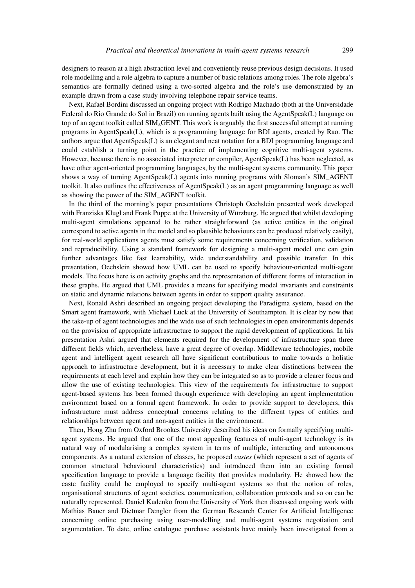designers to reason at a high abstraction level and conveniently reuse previous design decisions. It used role modelling and a role algebra to capture a number of basic relations among roles. The role algebra's semantics are formally defined using a two-sorted algebra and the role's use demonstrated by an example drawn from a case study involving telephone repair service teams.

Next, Rafael Bordini discussed an ongoing project with Rodrigo Machado (both at the Universidade Federal do Rio Grande do Sol in Brazil) on running agents built using the AgentSpeak(L) language on top of an agent toolkit called SIMAGENT. This work is arguably the first successful attempt at running programs in AgentSpeak(L), which is a programming language for BDI agents, created by Rao. The authors argue that AgentSpeak(L) is an elegant and neat notation for a BDI programming language and could establish a turning point in the practice of implementing cognitive multi-agent systems. However, because there is no associated interpreter or compiler, AgentSpeak(L) has been neglected, as have other agent-oriented programming languages, by the multi-agent systems community. This paper shows a way of turning AgentSpeak(L) agents into running programs with Sloman's SIM\_AGENT toolkit. It also outlines the effectiveness of AgentSpeak(L) as an agent programming language as well as showing the power of the SIM\_AGENT toolkit.

In the third of the morning's paper presentations Christoph Oechslein presented work developed with Franziska Klugl and Frank Puppe at the University of Würzburg. He argued that whilst developing multi-agent simulations appeared to be rather straightforward (as active entities in the original correspond to active agents in the model and so plausible behaviours can be produced relatively easily), for real-world applications agents must satisfy some requirements concerning verification, validation and reproducibility. Using a standard framework for designing a multi-agent model one can gain further advantages like fast learnability, wide understandability and possible transfer. In this presentation, Oechslein showed how UML can be used to specify behaviour-oriented multi-agent models. The focus here is on activity graphs and the representation of different forms of interaction in these graphs. He argued that UML provides a means for specifying model invariants and constraints on static and dynamic relations between agents in order to support quality assurance.

Next, Ronald Ashri described an ongoing project developing the Paradigma system, based on the Smart agent framework, with Michael Luck at the University of Southampton. It is clear by now that the take-up of agent technologies and the wide use of such technologies in open environments depends on the provision of appropriate infrastructure to support the rapid development of applications. In his presentation Ashri argued that elements required for the development of infrastructure span three different fields which, nevertheless, have a great degree of overlap. Middleware technologies, mobile agent and intelligent agent research all have significant contributions to make towards a holistic approach to infrastructure development, but it is necessary to make clear distinctions between the requirements at each level and explain how they can be integrated so as to provide a clearer focus and allow the use of existing technologies. This view of the requirements for infrastructure to support agent-based systems has been formed through experience with developing an agent implementation environment based on a formal agent framework. In order to provide support to developers, this infrastructure must address conceptual concerns relating to the different types of entities and relationships between agent and non-agent entities in the environment.

Then, Hong Zhu from Oxford Brookes University described his ideas on formally specifying multiagent systems. He argued that one of the most appealing features of multi-agent technology is its natural way of modularising a complex system in terms of multiple, interacting and autonomous components. As a natural extension of classes, he proposed *castes* (which represent a set of agents of common structural behavioural characteristics) and introduced them into an existing formal specification language to provide a language facility that provides modularity. He showed how the caste facility could be employed to specify multi-agent systems so that the notion of roles, organisational structures of agent societies, communication, collaboration protocols and so on can be naturally represented. Daniel Kudenko from the University of York then discussed ongoing work with Mathias Bauer and Dietmar Dengler from the German Research Center for Artificial Intelligence concerning online purchasing using user-modelling and multi-agent systems negotiation and argumentation. To date, online catalogue purchase assistants have mainly been investigated from a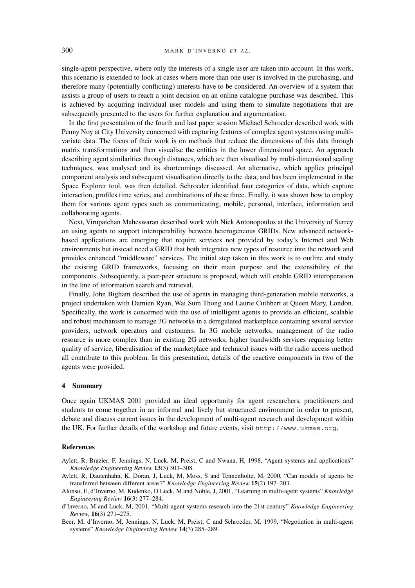single-agent perspective, where only the interests of a single user are taken into account. In this work, this scenario is extended to look at cases where more than one user is involved in the purchasing, and therefore many (potentially conflicting) interests have to be considered. An overview of a system that assists a group of users to reach a joint decision on an online catalogue purchase was described. This is achieved by acquiring individual user models and using them to simulate negotiations that are subsequently presented to the users for further explanation and argumentation.

In the first presentation of the fourth and last paper session Michael Schroeder described work with Penny Noy at City University concerned with capturing features of complex agent systems using multivariate data. The focus of their work is on methods that reduce the dimensions of this data through matrix transformations and then visualise the entities in the lower dimensional space. An approach describing agent similarities through distances, which are then visualised by multi-dimensional scaling techniques, was analysed and its shortcomings discussed. An alternative, which applies principal component analysis and subsequent visualisation directly to the data, and has been implemented in the Space Explorer tool, was then detailed. Schroeder identified four categories of data, which capture interaction, profiles time series, and combinations of these three. Finally, it was shown how to employ them for various agent types such as communicating, mobile, personal, interface, information and collaborating agents.

Next, Virupatchan Maheswaran described work with Nick Antonopoulos at the University of Surrey on using agents to support interoperability between heterogeneous GRIDs. New advanced networkbased applications are emerging that require services not provided by today's Internet and Web environments but instead need a GRID that both integrates new types of resource into the network and provides enhanced "middleware" services. The initial step taken in this work is to outline and study the existing GRID frameworks, focusing on their main purpose and the extensibility of the components. Subsequently, a peer-peer structure is proposed, which will enable GRID interoperation in the line of information search and retrieval.

Finally, John Bigham described the use of agents in managing third-generation mobile networks, a project undertaken with Damien Ryan, Wai Sum Thong and Laurie Cuthbert at Queen Mary, London. Specifically, the work is concerned with the use of intelligent agents to provide an efficient, scalable and robust mechanism to manage 3G networks in a deregulated marketplace containing several service providers, network operators and customers. In 3G mobile networks, management of the radio resource is more complex than in existing 2G networks; higher bandwidth services requiring better quality of service, liberalisation of the marketplace and technical issues with the radio access method all contribute to this problem. In this presentation, details of the reactive components in two of the agents were provided.

### **4 Summary**

Once again UKMAS 2001 provided an ideal opportunity for agent researchers, practitioners and students to come together in an informal and lively but structured environment in order to present, debate and discuss current issues in the development of multi-agent research and development within the UK. For further details of the workshop and future events, visit http://www.ukmas.org.

# **References**

Aylett, R, Brazier, F, Jennings, N, Luck, M, Preist, C and Nwana, H, 1998, "Agent systems and applications" *Knowledge Engineering Review* **13**(3) 303–308.

- Aylett, R, Dautenhahn, K, Doran, J, Luck, M, Moss, S and Tennenholtz, M, 2000, "Can models of agents be transferred between different areas?" *Knowledge Engineering Review* **15**(2) 197–203.
- Alonso, E, d'Inverno, M, Kudenko, D Luck, M and Noble, J, 2001, "Learning in multi-agent systems" *Knowledge Engineering Review* **16**(3) 277–284.
- d'Inverno, M and Luck, M, 2001, "Multi-agent systems research into the 21st century" *Knowledge Engineering Review*, **16**(3) 271–275.
- Beer, M, d'Inverno, M, Jennings, N, Luck, M, Preist, C and Schroeder, M, 1999, "Negotiation in multi-agent systems" *Knowledge Engineering Review* **14**(3) 285–289.